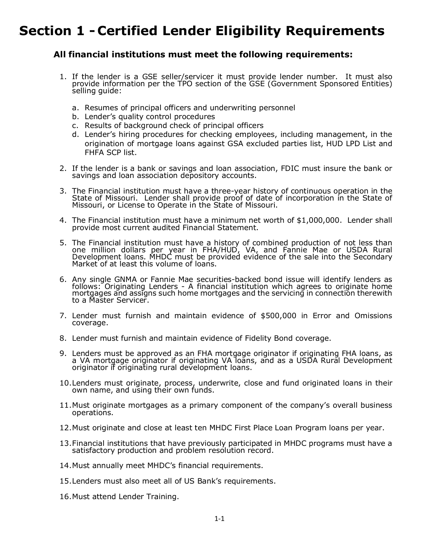## Section 1 - Certified Lender Eligibility Requirements

## All financial institutions must meet the following requirements:

- 1. If the lender is a GSE seller/servicer it must provide lender number. It must also provide information per the TPO section of the GSE (Government Sponsored Entities) selling quide:
	- a. Resumes of principal officers and underwriting personnel
	- b. Lender's quality control procedures
	- c. Results of background check of principal officers
	- d. Lender's hiring procedures for checking employees, including management, in the origination of mortgage loans against GSA excluded parties list, HUD LPD List and FHFA SCP list.
- 2. If the lender is a bank or savings and loan association, FDIC must insure the bank or savings and loan association depository accounts.
- 3. The Financial institution must have a three-year history of continuous operation in the State of State of Missouri. Lender shall provide proof of date of incorporation in the State of Missouri, or License to Operate in
- 4. The Financial institution must have a minimum net worth of \$1,000,000. Lender shall provide most current audited Financial Statement.
- 5. The Financial institution must have a history of combined production of not less than one million dollars per year in FHA/HUD, VA, and Fannie Mae or USDA Rural Development loans. MHDC must be provided evidence of the sale into the Secondary<br>Market of at least this volume of loans.
- 6. Any single GNMA or Fannie Mae securities-backed bond issue will identify lenders as follows: Originating Lenders A financial institution which agrees to originate home mortgages and assigns such home mortgages and the to a Master Servicer.
- 7. Lender must furnish and maintain evidence of \$500,000 in Error and Omissions coverage.
- 8. Lender must furnish and maintain evidence of Fidelity Bond coverage.
- 9. Lenders must be approved as an FHA mortgage originator if originating FHA loans, as aVA mortgage originator if originating VA loans, and as a USDA Rural Development originator if originating rural development loans.
- 10. Lenders must originate, process, underwrite, close and fund originated loans in their own name, and using their own funds.
- 11. Must originate mortgages as a primary component of the company's overall business operations.
- 12. Must originate and close at least ten MHDC First Place Loan Program loans per year.
- 13. Financial institutions that have previously participated in MHDC programs must have a satisfactory production and problem resolution record.
- 14. Must annually meet MHDC's financial requirements.
- 15. Lenders must also meet all of US Bank's requirements.
- 16. Must attend Lender Training.